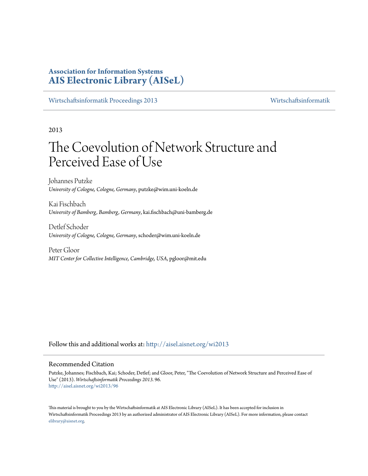# **Association for Information Systems [AIS Electronic Library \(AISeL\)](http://aisel.aisnet.org?utm_source=aisel.aisnet.org%2Fwi2013%2F96&utm_medium=PDF&utm_campaign=PDFCoverPages)**

[Wirtschaftsinformatik Proceedings 2013](http://aisel.aisnet.org/wi2013?utm_source=aisel.aisnet.org%2Fwi2013%2F96&utm_medium=PDF&utm_campaign=PDFCoverPages) [Wirtschaftsinformatik](http://aisel.aisnet.org/wi?utm_source=aisel.aisnet.org%2Fwi2013%2F96&utm_medium=PDF&utm_campaign=PDFCoverPages)

2013

# The Coevolution of Network Structure and Perceived Ease of Use

Johannes Putzke *University of Cologne, Cologne, Germany*, putzke@wim.uni-koeln.de

Kai Fischbach *University of Bamberg, Bamberg, Germany*, kai.fischbach@uni-bamberg.de

Detlef Schoder *University of Cologne, Cologne, Germany*, schoder@wim.uni-koeln.de

Peter Gloor *MIT Center for Collective Intelligence, Cambridge, USA*, pgloor@mit.edu

Follow this and additional works at: [http://aisel.aisnet.org/wi2013](http://aisel.aisnet.org/wi2013?utm_source=aisel.aisnet.org%2Fwi2013%2F96&utm_medium=PDF&utm_campaign=PDFCoverPages)

#### Recommended Citation

Putzke, Johannes; Fischbach, Kai; Schoder, Detlef; and Gloor, Peter, "The Coevolution of Network Structure and Perceived Ease of Use" (2013). *Wirtschaftsinformatik Proceedings 2013*. 96. [http://aisel.aisnet.org/wi2013/96](http://aisel.aisnet.org/wi2013/96?utm_source=aisel.aisnet.org%2Fwi2013%2F96&utm_medium=PDF&utm_campaign=PDFCoverPages)

This material is brought to you by the Wirtschaftsinformatik at AIS Electronic Library (AISeL). It has been accepted for inclusion in Wirtschaftsinformatik Proceedings 2013 by an authorized administrator of AIS Electronic Library (AISeL). For more information, please contact [elibrary@aisnet.org.](mailto:elibrary@aisnet.org%3E)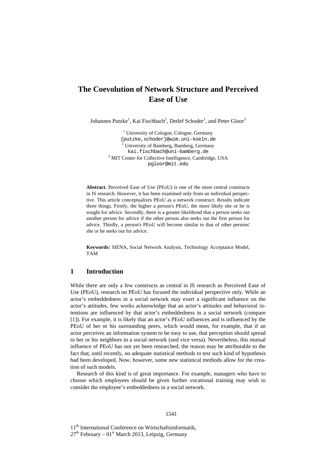# **The Coevolution of Network Structure and Perceived Ease of Use**

Johannes Putzke<sup>1</sup>, Kai Fischbach<sup>2</sup>, Detlef Schoder<sup>1</sup>, and Peter Gloor<sup>3</sup>

<sup>1</sup> University of Cologne, Cologne, Germany {putzke,schoder}@wim.uni-koeln.de <sup>2</sup> University of Bamberg, Bamberg, Germany kai.fischbach@uni-bamberg.de <sup>3</sup> MIT Center for Collective Intelligence, Cambridge, USA pgloor@mit.edu

**Abstract.** Perceived Ease of Use (PEoU) is one of the most central constructs in IS research. However, it has been examined only from an individual perspective. This article conceptualizes PEoU as a network construct. Results indicate three things. Firstly, the higher a person's PEoU, the more likely she or he is sought for advice. Secondly, there is a greater likelihood that a person seeks out another person for advice if the other person also seeks out the first person for advice. Thirdly, a person's PEoU will become similar to that of other persons' she or he seeks out for advice.

**Keywords:** SIENA, Social Network Analysis, Technology Acceptance Model, TAM

# **1 Introduction**

While there are only a few constructs as central in IS research as Perceived Ease of Use (PEoU), research on PEoU has focused the individual perspective only. While an actor's embeddedness in a social network may exert a significant influence on the actor's attitudes, few works acknowledge that an actor's attitudes and behavioral intentions are influenced by that actor's embeddedness in a social network (compare [1]). For example, it is likely that an actor's PEoU influences and is influenced by the PEoU of her or his surrounding peers, which would mean, for example, that if an actor perceives an information system to be easy to use, that perception should spread to her or his neighbors in a social network (and vice versa). Nevertheless, this mutual influence of PEoU has not yet been researched; the reason may be attributable to the fact that, until recently, no adequate statistical methods to test such kind of hypothesis had been developed. Now, however, some new statistical methods allow for the creation of such models.

Research of this kind is of great importance. For example, managers who have to choose which employees should be given further vocational training may wish to consider the employee's embeddedness in a social network.

11<sup>th</sup> International Conference on Wirtschaftsinformatik,  $27<sup>th</sup>$  February –  $01<sup>st</sup>$  March 2013, Leipzig, Germany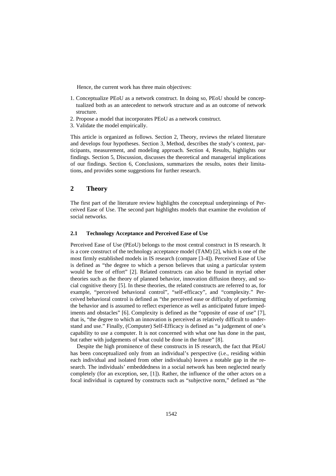Hence, the current work has three main objectives:

- 1. Conceptualize PEoU as a network construct. In doing so, PEoU should be conceptualized both as an antecedent to network structure and as an outcome of network structure.
- 2. Propose a model that incorporates PEoU as a network construct.
- 3. Validate the model empirically.

This article is organized as follows. Section 2, Theory, reviews the related literature and develops four hypotheses. Section 3, Method, describes the study's context, participants, measurement, and modeling approach. Section 4, Results, highlights our findings. Section 5, Discussion, discusses the theoretical and managerial implications of our findings. Section 6, Conclusions, summarizes the results, notes their limitations, and provides some suggestions for further research.

# **2 Theory**

The first part of the literature review highlights the conceptual underpinnings of Perceived Ease of Use. The second part highlights models that examine the evolution of social networks.

#### **2.1 Technology Acceptance and Perceived Ease of Use**

Perceived Ease of Use (PEoU) belongs to the most central construct in IS research. It is a core construct of the technology acceptance model (TAM) [2], which is one of the most firmly established models in IS research (compare [3-4]). Perceived Ease of Use is defined as "the degree to which a person believes that using a particular system would be free of effort" [2]. Related constructs can also be found in myriad other theories such as the theory of planned behavior, innovation diffusion theory, and social cognitive theory [5]. In these theories, the related constructs are referred to as, for example, "perceived behavioral control", "self-efficacy", and "complexity." Perceived behavioral control is defined as "the perceived ease or difficulty of performing the behavior and is assumed to reflect experience as well as anticipated future impediments and obstacles" [6]. Complexity is defined as the "opposite of ease of use" [7], that is, "the degree to which an innovation is perceived as relatively difficult to understand and use." Finally, (Computer) Self-Efficacy is defined as "a judgement of one's capability to use a computer. It is not concerned with what one has done in the past, but rather with judgements of what could be done in the future" [8].

Despite the high prominence of these constructs in IS research, the fact that PEoU has been conceptualized only from an individual's perspective (i.e., residing within each individual and isolated from other individuals) leaves a notable gap in the research. The individuals' embeddedness in a social network has been neglected nearly completely (for an exception, see, [1]). Rather, the influence of the other actors on a focal individual is captured by constructs such as "subjective norm," defined as "the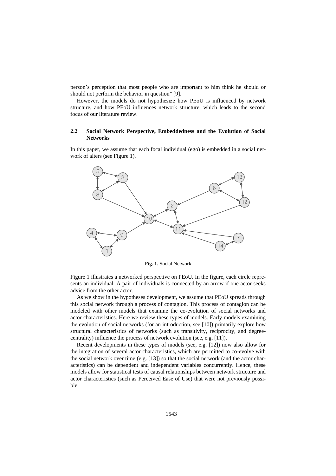person's perception that most people who are important to him think he should or should not perform the behavior in question" [9].

However, the models do not hypothesize how PEoU is influenced by network structure, and how PEoU influences network structure, which leads to the second focus of our literature review.

#### **2.2 Social Network Perspective, Embeddedness and the Evolution of Social Networks**

In this paper, we assume that each focal individual (ego) is embedded in a social network of alters (see Figure 1).



**Fig. 1.** Social Network

Figure 1 illustrates a networked perspective on PEoU. In the figure, each circle represents an individual. A pair of individuals is connected by an arrow if one actor seeks advice from the other actor.

As we show in the hypotheses development, we assume that PEoU spreads through this social network through a process of contagion. This process of contagion can be modeled with other models that examine the co-evolution of social networks and actor characteristics. Here we review these types of models. Early models examining the evolution of social networks (for an introduction, see [10]) primarily explore how structural characteristics of networks (such as transitivity, reciprocity, and degreecentrality) influence the process of network evolution (see, e.g. [11]).

Recent developments in these types of models (see, e.g. [12]) now also allow for the integration of several actor characteristics, which are permitted to co-evolve with the social network over time (e.g. [13]) so that the social network (and the actor characteristics) can be dependent and independent variables concurrently. Hence, these models allow for statistical tests of causal relationships between network structure and actor characteristics (such as Perceived Ease of Use) that were not previously possible.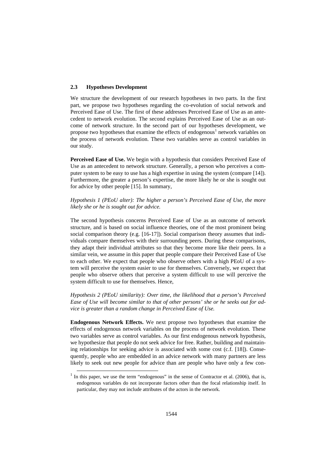#### **2.3 Hypotheses Development**

-

We structure the development of our research hypotheses in two parts. In the first part, we propose two hypotheses regarding the co-evolution of social network and Perceived Ease of Use. The first of these addresses Perceived Ease of Use as an antecedent to network evolution. The second explains Perceived Ease of Use as an outcome of network structure. In the second part of our hypotheses development, we propose two hypotheses that examine the effects of endogenous<sup>1</sup> network variables on the process of network evolution. These two variables serve as control variables in our study.

**Perceived Ease of Use.** We begin with a hypothesis that considers Perceived Ease of Use as an antecedent to network structure. Generally, a person who perceives a computer system to be easy to use has a high expertise in using the system (compare [14]). Furthermore, the greater a person's expertise, the more likely he or she is sought out for advice by other people [15]. In summary,

*Hypothesis 1 (PEoU alter): The higher a person's Perceived Ease of Use, the more likely she or he is sought out for advice.*

The second hypothesis concerns Perceived Ease of Use as an outcome of network structure, and is based on social influence theories, one of the most prominent being social comparison theory (e.g. [16-17]). Social comparison theory assumes that individuals compare themselves with their surrounding peers. During these comparisons, they adapt their individual attributes so that they become more like their peers. In a similar vein, we assume in this paper that people compare their Perceived Ease of Use to each other. We expect that people who observe others with a high PEoU of a system will perceive the system easier to use for themselves. Conversely, we expect that people who observe others that perceive a system difficult to use will perceive the system difficult to use for themselves. Hence,

*Hypothesis 2 (PEoU similarity): Over time, the likelihood that a person's Perceived Ease of Use will become similar to that of other persons' she or he seeks out for advice is greater than a random change in Perceived Ease of Use.*

**Endogenous Network Effects.** We next propose two hypotheses that examine the effects of endogenous network variables on the process of network evolution. These two variables serve as control variables. As our first endogenous network hypothesis, we hypothesize that people do not seek advice for free. Rather, building and maintaining relationships for seeking advice is associated with some cost (c.f. [18]). Consequently, people who are embedded in an advice network with many partners are less likely to seek out new people for advice than are people who have only a few con-

 $<sup>1</sup>$  In this paper, we use the term "endogenous" in the sense of Contractor et al. (2006), that is,</sup> endogenous variables do not incorporate factors other than the focal relationship itself. In particular, they may not include attributes of the actors in the network.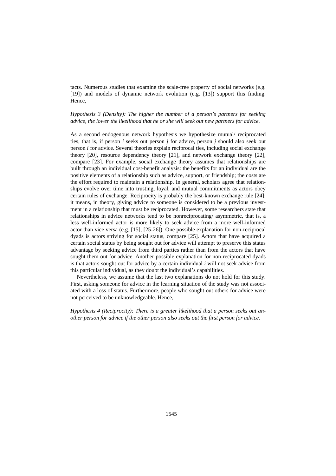tacts. Numerous studies that examine the scale-free property of social networks (e.g. [19]) and models of dynamic network evolution (e.g. [13]) support this finding. Hence,

*Hypothesis 3 (Density): The higher the number of a person's partners for seeking advice, the lower the likelihood that he or she will seek out new partners for advice.*

As a second endogenous network hypothesis we hypothesize mutual/ reciprocated ties, that is, if person *i* seeks out person *j* for advice, person *j* should also seek out person *i* for advice. Several theories explain reciprocal ties, including social exchange theory [20], resource dependency theory [21], and network exchange theory [22], compare [23]. For example, social exchange theory assumes that relationships are built through an individual cost-benefit analysis: the benefits for an individual are the positive elements of a relationship such as advice, support, or friendship; the costs are the effort required to maintain a relationship. In general, scholars agree that relationships evolve over time into trusting, loyal, and mutual commitments as actors obey certain rules of exchange. Reciprocity is probably the best-known exchange rule [24]; it means, in theory, giving advice to someone is considered to be a previous investment in a relationship that must be reciprocated. However, some researchers state that relationships in advice networks tend to be nonreciprocating/ asymmetric, that is, a less well-informed actor is more likely to seek advice from a more well-informed actor than vice versa (e.g. [15], [25-26]). One possible explanation for non-reciprocal dyads is actors striving for social status, compare [25]. Actors that have acquired a certain social status by being sought out for advice will attempt to preserve this status advantage by seeking advice from third parties rather than from the actors that have sought them out for advice. Another possible explanation for non-reciprocated dyads is that actors sought out for advice by a certain individual *i* will not seek advice from this particular individual, as they doubt the individual's capabilities.

Nevertheless, we assume that the last two explanations do not hold for this study. First, asking someone for advice in the learning situation of the study was not associated with a loss of status. Furthermore, people who sought out others for advice were not perceived to be unknowledgeable. Hence,

*Hypothesis 4 (Reciprocity): There is a greater likelihood that a person seeks out another person for advice if the other person also seeks out the first person for advice.*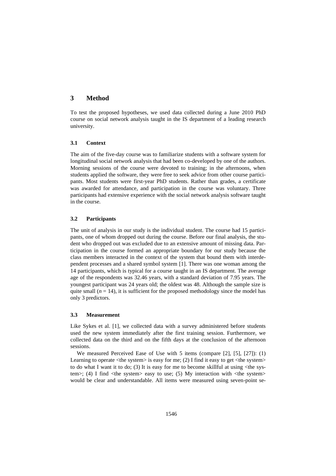## **3 Method**

To test the proposed hypotheses, we used data collected during a June 2010 PhD course on social network analysis taught in the IS department of a leading research university.

#### **3.1 Context**

The aim of the five-day course was to familiarize students with a software system for longitudinal social network analysis that had been co-developed by one of the authors. Morning sessions of the course were devoted to training; in the afternoons, when students applied the software, they were free to seek advice from other course participants. Most students were first-year PhD students. Rather than grades, a certificate was awarded for attendance, and participation in the course was voluntary. Three participants had extensive experience with the social network analysis software taught in the course.

#### **3.2 Participants**

The unit of analysis in our study is the individual student. The course had 15 participants, one of whom dropped out during the course. Before our final analysis, the student who dropped out was excluded due to an extensive amount of missing data. Participation in the course formed an appropriate boundary for our study because the class members interacted in the context of the system that bound them with interdependent processes and a shared symbol system [1]. There was one woman among the 14 participants, which is typical for a course taught in an IS department. The average age of the respondents was 32.46 years, with a standard deviation of 7.95 years. The youngest participant was 24 years old; the oldest was 48. Although the sample size is quite small  $(n = 14)$ , it is sufficient for the proposed methodology since the model has only 3 predictors.

#### **3.3 Measurement**

Like Sykes et al. [1], we collected data with a survey administered before students used the new system immediately after the first training session. Furthermore, we collected data on the third and on the fifth days at the conclusion of the afternoon sessions.

We measured Perceived Ease of Use with 5 items (compare  $[2]$ ,  $[5]$ ,  $[27]$ ): (1) Learning to operate  $\langle$ the system $\rangle$  is easy for me; (2) I find it easy to get  $\langle$ the system $\rangle$ to do what I want it to do; (3) It is easy for me to become skillful at using  $\lt$ the system>; (4) I find <the system> easy to use; (5) My interaction with <the system> would be clear and understandable. All items were measured using seven-point se-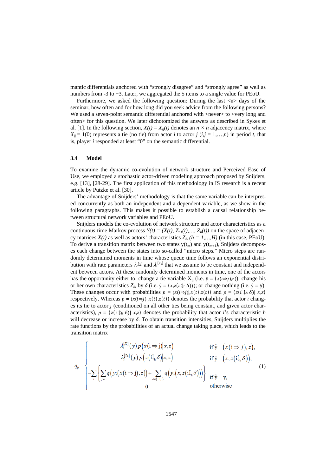mantic differentials anchored with "strongly disagree" and "strongly agree" as well as numbers from -3 to +3. Later, we aggregated the 5 items to a single value for PEoU.

Furthermore, we asked the following question: During the last  $\langle n \rangle$  days of the seminar, how often and for how long did you seek advice from the following persons? We used a seven-point semantic differential anchored with <never> to <very long and often> for this question. We later dichotomized the answers as described in Sykes et al. [1]. In the following section,  $X(t) = X_{ii}(t)$  denotes an  $n \times n$  adjacency matrix, where  $X_{ii} = 1(0)$  represents a tie (no tie) from actor *i* to actor *i* (*i,j* = 1,…,*n*) in period *t*, that is, player *i* responded at least "0" on the semantic differential.

#### **3.4 Model**

To examine the dynamic co-evolution of network structure and Perceived Ease of Use, we employed a stochastic actor-driven modeling approach proposed by Snijders, e.g. [13], [28-29]. The first application of this methodology in IS research is a recent article by Putzke et al. [30].

The advantage of Snijders' methodology is that the same variable can be interpreted concurrently as both an independent and a dependent variable, as we show in the following paragraphs. This makes it possible to establish a causal relationship between structural network variables and PEoU.

Snijders models the co-evolution of network structure and actor characteristics as a continuous-time Markov process  $Y(t) = (X(t), Z<sub>h</sub>)(t), ..., Z<sub>h</sub>(t))$  on the space of adjacency matrices  $X(t)$  as well as actors' characteristics  $Z_{hi}$   $(h = 1, ..., H)$  (in this case, PEoU). To derive a transition matrix between two states  $y(t_m)$  and  $y(t_{m+1})$ , Snijders decomposes each change between the states into so-called "micro steps." Micro steps are randomly determined moments in time whose queue time follows an exponential distribution with rate parameters  $\lambda_i^{[X]}$  and  $\lambda_i^{[Z_h]}$  that we assume to be constant and independent between actors. At these randomly determined moments in time, one of the actors has the opportunity either to: change a tie variable  $X_{ii}$  (i.e.  $\hat{y} = (x(i\Rightarrow j),z)$ ); change his or her own characteristics  $Z_{hi}$  by  $\delta$  (i.e.  $\hat{y} = (x, z(i \hat{y} \land \delta)))$ ; or change nothing (i.e.  $\hat{y} = y$ ). These changes occur with probabilities  $p = (x(i\Rightarrow j)|,x(t),z(t))$  and  $p = (z(i \hat{y}_h \delta)|x,z)$ respectively. Whereas  $p = (x(i\Rightarrow j)|, x(t), z(t))$  denotes the probability that actor *i* changes its tie to actor *j* (conditioned on all other ties being constant, and given actor characteristics),  $p = (z(i \hat{\psi}_h \delta) | x, z)$  denotes the probability that actor *i*'s characteristic *h* will decrease or increase by  $\delta$ . To obtain transition intensities, Snijders multiplies the rate functions by the probabilities of an actual change taking place, which leads to the transition matrix

$$
q_{ij} = \begin{cases} \lambda_i^{[X]}(y) p(x(i \Rightarrow j) | x, z) & \text{if } \hat{y} = (x(i \Rightarrow j), z), \\ \lambda_i^{[Z_h]}(y) p(z(i\hat{l}_h \delta) | x, z) & \text{if } \hat{y} = (x, z(i\hat{l}_h \delta)), \\ -\sum_i \left\{ \sum_{j \neq i} q(y; (x(i \Rightarrow j), z)) + \sum_{\delta \in \{-1, 1\}} q(y; (x, z(i\hat{l}_h \delta))) \right\} & \text{if } \hat{y} = y, \\ 0 & \text{otherwise} \end{cases}
$$
(1)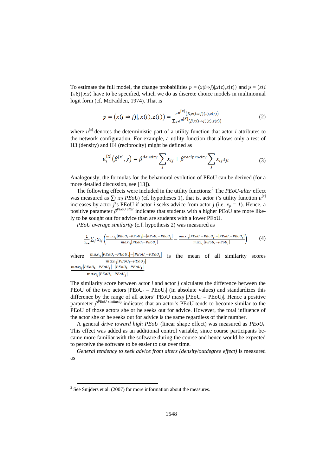To estimate the full model, the change probabilities  $p = (x(i\Rightarrow i)|,x(t),z(t))$  and  $p = (z(i\Rightarrow i))$  $\hat{\psi}$  (h  $\delta$ )|  $x, z$ ) have to be specified, which we do as discrete choice models in multinomial logit form (cf. McFadden, 1974). That is

$$
p = (x(i \Rightarrow j)), x(t), z(t)) = \frac{e^{u^{[X]}}(\beta, x(i \Rightarrow j)(t), z(t))}{\sum_{k} e^{u^{[X]}}(\beta, x(i \Rightarrow j)(t), z(t))}
$$
(2)

where  $u^{[x]}$  denotes the deterministic part of a utility function that actor *i* attributes to the network configuration. For example, a utility function that allows only a test of H3 (density) and H4 (reciprocity) might be defined as

$$
u_i^{[X]}(\beta^{[X]}, y) = \beta^{density} \sum_j x_{ij} + \beta^{reciprocity} \sum_j x_{ij} x_{ji}
$$
 (3)

Analogously, the formulas for the behavioral evolution of PEoU can be derived (for a more detailed discussion, see [13]).

The following effects were included in the utility functions:<sup>2</sup> The *PEoU-alter* effect was measured as  $\sum_j x_{ij} P E o U_j$  (cf. hypotheses 1), that is, actor *i*'s utility function  $u^{[x]}$ increases by actor *j*'s PEoU if actor *i* seeks advice from actor *j* (i.e.  $x_{ii} = 1$ ). Hence, a positive parameter *β<sup>PEoU alter*</sup> indicates that students with a higher PEoU are more likely to be sought out for advice than are students with a lower PEoU.

*PEoU average similarity* (c.f. hypothesis 2) was measured as

$$
\frac{1}{x_{i+}}\sum_j x_{ij} \left(\frac{max_{ij} |PEoU_i - PEoU_j| - |PEoU_i - PEoU_j|}{max_{ij} |PEoU_i - PEoU_j|} - \frac{max_{ij} |PEoU_i - PEoU_j| - |PEoU_i - PEoU_j|}{max_{ij} |PEoU_i - PEoU_j|}\right) \tag{4}
$$

where  $\frac{max_{1j}|PE0U_1-PE0U_j| - |PE0U_1-PE0U_j|}{max_{1j}|PE0U_1-PE0U_j|}$  is the mean of all similarity scores  $max_{ij}$ |PEOU<sub>i</sub>-PEOU<sub>j</sub>|-|PEOU<sub>i</sub>-PEOU<sub>j</sub>|  $max_{ij}$ |PEOU<sub>i</sub>-PEOU<sub>i</sub>|

The similarity score between actor *i* and actor *j* calculates the difference between the PEoU of the two actors  $|{\rm PeoU}_i - {\rm PeoU}_j|$  (in absolute values) and standardizes this difference by the range of all actors' PEoU max<sub>ii</sub>  $|PEoU_i - PEoU_j|$ . Hence a positive parameter *β PEoU similarity* indicates that an actor's PEoU tends to become similar to the PEoU of those actors she or he seeks out for advice. However, the total influence of the actor she or he seeks out for advice is the same regardless of their number.

A general *drive toward high PEoU* (linear shape effect) was measured as  $PEoU_i$ . This effect was added as an additional control variable, since course participants became more familiar with the software during the course and hence would be expected to perceive the software to be easier to use over time.

*General tendency to seek advice from alters (density/outdegree effect)* is measured as

-

 $2^2$  See Snijders et al. (2007) for more information about the measures.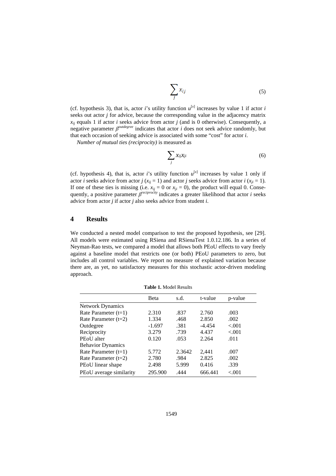$$
\sum_{j} x_{ij} \tag{5}
$$

(cf. hypothesis 3), that is, actor *i*'s utility function  $u^{[x]}$  increases by value 1 if actor *i* seeks out actor *j* for advice, because the corresponding value in the adjacency matrix  $x_{ii}$  equals 1 if actor *i* seeks advice from actor *j* (and is 0 otherwise). Consequently, a negative parameter *β outdegree* indicates that actor *i* does not seek advice randomly, but that each occasion of seeking advice is associated with some "cost" for actor *i*.

*Number of mutual ties (reciprocity)* is measured as

$$
\sum_j x_{ij}x_{ji} \tag{6}
$$

(cf. hypothesis 4), that is, actor *i*'s utility function  $u^{[x]}$  increases by value 1 only if actor *i* seeks advice from actor *j* ( $x_{ij} = 1$ ) and actor *j* seeks advice from actor *i* ( $x_{ji} = 1$ ). If one of these ties is missing (i.e.  $x_{ij} = 0$  or  $x_{ji} = 0$ ), the product will equal 0. Consequently, a positive parameter *β reciprocity* indicates a greater likelihood that actor *i* seeks advice from actor *j* if actor *j* also seeks advice from student *i*.

#### **4 Results**

We conducted a nested model comparison to test the proposed hypothesis, see [29]. All models were estimated using RSiena and RSienaTest 1.0.12.186. In a series of Neyman-Rao tests, we compared a model that allows both PEoU effects to vary freely against a baseline model that restricts one (or both) PEoU parameters to zero, but includes all control variables. We report no measure of explained variation because there are, as yet, no satisfactory measures for this stochastic actor-driven modeling approach.

**Table 1.** Model Results Beta s.d. t-value p-value Network Dynamics Rate Parameter (t=1) 2.310 .837 2.760 .003<br>
Rate Parameter (t=2) 1.334 .468 2.850 .002 Rate Parameter (t=2)  $1.334$   $.468$   $2.850$   $.002$ Outdegree -1.697 .381 -4.454 <.001 Reciprocity 3.279 .739 4.437 <.001 PEoU alter 0.120 .053 2.264 .011 Behavior Dynamics Rate Parameter (t=1) 5.772 2.3642 2,441 .007 Rate Parameter (t=2) 2.780 .984 2.825 .002 PEoU linear shape 2.498 5.999 0.416 .339 PEoU average similarity 295.900 .444 666.441 <.001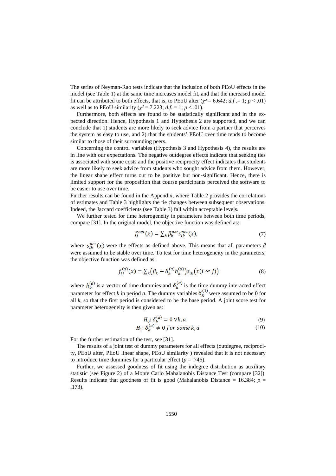The series of Neyman-Rao tests indicate that the inclusion of both PEoU effects in the model (see Table 1) at the same time increases model fit, and that the increased model fit can be attributed to both effects, that is, to PEoU alter ( $\chi^2$  = 6.642; *d.f* .= 1; *p* < .01) as well as to PEoU similarity ( $\chi^2 = 7.223$ ;  $d.f. = 1$ ;  $p < .01$ ).

Furthermore, both effects are found to be statistically significant and in the expected direction. Hence, Hypothesis 1 and Hypothesis 2 are supported, and we can conclude that 1) students are more likely to seek advice from a partner that perceives the system as easy to use, and 2) that the students' PEoU over time tends to become similar to those of their surrounding peers.

Concerning the control variables (Hypothesis 3 and Hypothesis 4), the results are in line with our expectations. The negative outdegree effects indicate that seeking ties is associated with some costs and the positive reciprocity effect indicates that students are more likely to seek advice from students who sought advice from them. However, the linear shape effect turns out to be positive but non-significant. Hence, there is limited support for the proposition that course participants perceived the software to be easier to use over time.

Further results can be found in the Appendix, where Table 2 provides the correlations of estimates and Table 3 highlights the tie changes between subsequent observations. Indeed, the Jaccard coefficients (see Table 3) fall within acceptable levels.

We further tested for time heterogeneity in parameters between both time periods, compare [31]. In the original model, the objective function was defined as:

$$
f_i^{net}(x) = \sum_k \beta_k^{net} s_{ik}^{net}(x),\tag{7}
$$

where  $s_{ik}^{net}(x)$  were the effects as defined above. This means that all parameters  $\beta$ were assumed to be stable over time. To test for time heterogeneity in the parameters, the objective function was defined as:

$$
f_{ij}^{(a)}(x) = \sum_{k} (\beta_k + \delta_k^{(a)} h_k^{(a)}) s_{ik} (x(i \sim j))
$$
 (8)

where  $h_k^{(a)}$  is a vector of time dummies and  $\delta_k^{(a)}$  is the time dummy interacted effect parameter for effect *k* in period *a*. The dummy variables  $\delta_k^{\mu}$  were assumed to be 0 for all  $k$ , so that the first period is considered to be the base period. A joint score test for parameter heterogeneity is then given as:

$$
H_0: \delta_k^{(a)} = 0 \,\forall k, a \tag{9}
$$

$$
H_1: \delta_k^{(a)} \neq 0 \text{ for some } k, a \tag{10}
$$

For the further estimation of the test, see [31].

The results of a joint test of dummy parameters for all effects (outdegree, reciprocity, PEoU alter, PEoU linear shape, PEoU similarity ) revealed that it is not necessary to introduce time dummies for a particular effect ( $p = .746$ ).

Further, we assessed goodness of fit using the indegree distribution as auxiliary statistic (see Figure 2) of a Monte Carlo Mahalanobis Distance Test (compare [32]). Results indicate that goodness of fit is good (Mahalanobis Distance = 16.384;  $p =$ .173).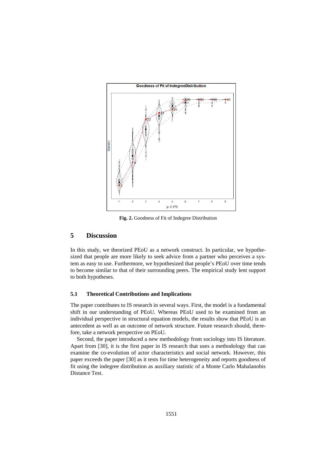

**Fig. 2.** Goodness of Fit of Indegree Distribution

# **5 Discussion**

In this study, we theorized PEoU as a network construct. In particular, we hypothesized that people are more likely to seek advice from a partner who perceives a system as easy to use. Furthermore, we hypothesized that people's PEoU over time tends to become similar to that of their surrounding peers. The empirical study lent support to both hypotheses.

#### **5.1 Theoretical Contributions and Implications**

The paper contributes to IS research in several ways. First, the model is a fundamental shift in our understanding of PEoU. Whereas PEoU used to be examined from an individual perspective in structural equation models, the results show that PEoU is an antecedent as well as an outcome of network structure. Future research should, therefore, take a network perspective on PEoU.

Second, the paper introduced a new methodology from sociology into IS literature. Apart from [30], it is the first paper in IS research that uses a methodology that can examine the co-evolution of actor characteristics and social network. However, this paper exceeds the paper [30] as it tests for time heterogeneity and reports goodness of fit using the indegree distribution as auxiliary statistic of a Monte Carlo Mahalanobis Distance Test.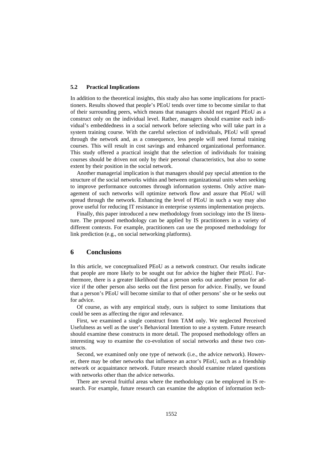#### **5.2 Practical Implications**

In addition to the theoretical insights, this study also has some implications for practitioners. Results showed that people's PEoU tends over time to become similar to that of their surrounding peers, which means that managers should not regard PEoU as a construct only on the individual level. Rather, managers should examine each individual's embeddedness in a social network before selecting who will take part in a system training course. With the careful selection of individuals, PEoU will spread through the network and, as a consequence, less people will need formal training courses. This will result in cost savings and enhanced organizational performance. This study offered a practical insight that the selection of individuals for training courses should be driven not only by their personal characteristics, but also to some extent by their position in the social network.

Another managerial implication is that managers should pay special attention to the structure of the social networks within and between organizational units when seeking to improve performance outcomes through information systems. Only active management of such networks will optimize network flow and assure that PEoU will spread through the network. Enhancing the level of PEoU in such a way may also prove useful for reducing IT resistance in enterprise systems implementation projects.

Finally, this paper introduced a new methodology from sociology into the IS literature. The proposed methodology can be applied by IS practitioners in a variety of different contexts. For example, practitioners can use the proposed methodology for link prediction (e.g., on social networking platforms).

## **6 Conclusions**

In this article, we conceptualized PEoU as a network construct. Our results indicate that people are more likely to be sought out for advice the higher their PEoU. Furthermore, there is a greater likelihood that a person seeks out another person for advice if the other person also seeks out the first person for advice. Finally, we found that a person's PEoU will become similar to that of other persons' she or he seeks out for advice.

Of course, as with any empirical study, ours is subject to some limitations that could be seen as affecting the rigor and relevance.

First, we examined a single construct from TAM only. We neglected Perceived Usefulness as well as the user's Behavioral Intention to use a system. Future research should examine these constructs in more detail. The proposed methodology offers an interesting way to examine the co-evolution of social networks and these two constructs.

Second, we examined only one type of network (i.e., the advice network). However, there may be other networks that influence an actor's PEoU, such as a friendship network or acquaintance network. Future research should examine related questions with networks other than the advice networks.

There are several fruitful areas where the methodology can be employed in IS research. For example, future research can examine the adoption of information tech-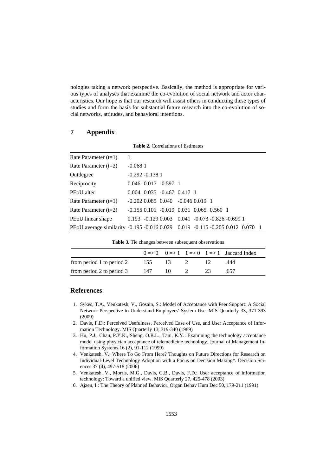nologies taking a network perspective. Basically, the method is appropriate for various types of analyses that examine the co-evolution of social network and actor characteristics. Our hope is that our research will assist others in conducting these types of studies and form the basis for substantial future research into the co-evolution of social networks, attitudes, and behavioral intentions.

**Table 2.** Correlations of Estimates

# **7 Appendix**

| Rate Parameter (t=1)                                                             | 1                 |                                                       |  |  |  |
|----------------------------------------------------------------------------------|-------------------|-------------------------------------------------------|--|--|--|
| Rate Parameter (t=2)                                                             | $-0.0681$         |                                                       |  |  |  |
| Outdegree                                                                        | $-0.292 - 0.1381$ |                                                       |  |  |  |
| Reciprocity                                                                      |                   | $0.046$ $0.017$ $-0.597$ 1                            |  |  |  |
| PEoU alter                                                                       |                   | $0.004$ $0.035$ $-0.467$ $0.417$ 1                    |  |  |  |
| Rate Parameter (t=1)                                                             |                   | $-0.202$ $0.085$ $0.040$ $-0.046$ $0.019$ 1           |  |  |  |
| Rate Parameter (t=2)                                                             |                   | $-0.155$ 0.101 $-0.019$ 0.031 0.065 0.560 1           |  |  |  |
| PEoU linear shape                                                                |                   | $0.193 - 0.1290.003$ $0.041 - 0.073 - 0.826 - 0.6991$ |  |  |  |
| PEoU average similarity -0.195 -0.016 0.029  0.019 -0.115 -0.205 0.012  0.070  1 |                   |                                                       |  |  |  |

**Table 3.** Tie changes between subsequent observations

|                           |      |                 |     | $0 \Rightarrow 0 \quad 0 \Rightarrow 1 \quad 1 \Rightarrow 0 \quad 1 \Rightarrow 1$ Jaccard Index |
|---------------------------|------|-----------------|-----|---------------------------------------------------------------------------------------------------|
| from period 1 to period 2 | 155  | $\overline{13}$ |     | .444                                                                                              |
| from period 2 to period 3 | -147 | 10              | -93 | .657                                                                                              |

# **References**

- 1. Sykes, T.A., Venkatesh, V., Gosain, S.: Model of Acceptance with Peer Support: A Social Network Perspective to Understand Employees' System Use. MIS Quarterly 33, 371-393 (2009)
- 2. Davis, F.D.: Perceived Usefulness, Perceived Ease of Use, and User Acceptance of Information Technology. MIS Quarterly 13, 319-340 (1989)
- 3. Hu, P.J., Chau, P.Y.K., Sheng, O.R.L., Tam, K.Y.: Examining the technology acceptance model using physician acceptance of telemedicine technology. Journal of Management Information Systems 16 (2), 91-112 (1999)
- 4. Venkatesh, V.: Where To Go From Here? Thoughts on Future Directions for Research on Individual-Level Technology Adoption with a Focus on Decision Making\*. Decision Sciences 37 (4), 497-518 (2006)
- 5. Venkatesh, V., Morris, M.G., Davis, G.B., Davis, F.D.: User acceptance of information technology: Toward a unified view. MIS Quarterly 27, 425-478 (2003)
- 6. Ajzen, I.: The Theory of Planned Behavior. Organ Behav Hum Dec 50, 179-211 (1991)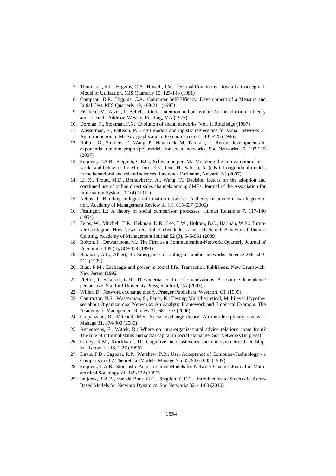- 7. Thompson, R.L., Higgins, C.A., Howell, J.M.: Personal Computing toward a Conceptual-Model of Utilization. MIS Quarterly 15, 125-143 (1991)
- 8. Compeau, D.R., Higgins, C.A.: Computer Self-Efficacy: Development of a Measure and Initial Test. MIS Quarterly 19, 189-211 (1995)
- 9. Fishbein, M., Ajzen, I.: Belief, attitude, intention and behaviour: An introduction to theory and research. Addison-Wesley, Reading, MA (1975)
- 10. Doreian, P., Stokman, F.N.: Evolution of social networks, Vol. 1. Routledge (1997)
- 11. Wasserman, S., Pattison, P.: Logit models and logistic regressions for social networks .1. An introduction to Markov graphs and p. Psychometrika 61, 401-425 (1996)
- 12. Robins, G., Snijders, T., Wang, P., Handcock, M., Pattison, P.: Recent developments in exponential random graph (p\*) models for social networks. Soc Networks 29, 192-215 (2007)
- 13. Snijders, T.A.B., Steglich, C.E.G., Schweinberger, M.: Modeling the co-evolution of networks and behavior. In: Montford, K.v., Oud, H., Satorra, A. (eds.): Longitudinal models in the behavioral and related sciences. Lawrence Earlbaum, Newark, NJ (2007)
- 14. Li, X., Troutt, M.D., Brandyberry, A., Wang, T.: Decision factors for the adoption and continued use of online direct sales channels among SMEs. Journal of the Association for Information Systems 12 (4) (2011)
- 15. Nebus, J.: Building collegial information networks: A theory of advice network generation. Academy of Management Review 31 (3), 615-637 (2006)
- 16. Festinger, L.: A theory of social comparison processes. Human Relations 7, 117-140 (1954)
- 17. Felps, W., Mitchell, T.R., Hekman, D.R., Lee, T.W., Holtom, B.C., Harman, W.S.: Turnover Contagion: How Coworkers' Job Embeddedness and Job Search Behaviors Influence Quitting. Academy of Management Journal 52 (3), 545-561 (2009)
- 18. Bolton, P., Dewatripont, M.: The Firm as a Communication-Network. Quarterly Journal of Economics 109 (4), 809-839 (1994)
- 19. Barabasi, A.L., Albert, R.: Emergence of scaling in random networks. Science 286, 509- 512 (1999)
- 20. Blau, P.M.: Exchange and power in social life. Transaction Publishers, New Brunswick, New Jersey (1992)
- 21. Pfeffer, J., Salancik, G.R.: The external control of organizations: A resource dependence perspective. Stanford University Press, Stanford, CA (2003)
- 22. Willer, D.: Network exchange theory. Praeger Publishers, Westport, CT (1999)
- 23. Contractor, N.S., Wasserman, S., Faust, K.: Testing Multitheoretical, Multilevel Hypotheses about Organizational Networks: An Analytic Framework and Empirical Example. The Academy of Management Review 31, 681-703 (2006)
- 24. Cropanzano, R., Mitchell, M.S.: Social exchange theory: An interdisciplinary review. J Manage 31, 874-900 (2005)
- 25. Agneessens, F., Wittek, R.: Where do intra-organizational advice relations come from? The role of informal status and social capital in social exchange. Soc Networks (in press)
- 26. Carley, K.M., Krackhardt, D.: Cognitive inconsistencies and non-symmetric friendship. Soc Networks 18, 1-27 (1996)
- 27. Davis, F.D., Bagozzi, R.P., Warshaw, P.R.: User Acceptance of Computer-Technology a Comparison of 2 Theoretical-Models. Manage Sci 35, 982-1003 (1989)
- 28. Snijders, T.A.B.: Stochastic Actor-oriented Models for Network Change. Journal of Mathematical Sociology 21, 149-172 (1996)
- 29. Snijders, T.A.B., van de Bunt, G.G., Steglich, C.E.G.: Introduction to Stochastic Actor-Based Models for Network Dynamics. Soc Networks 32, 44-60 (2010)